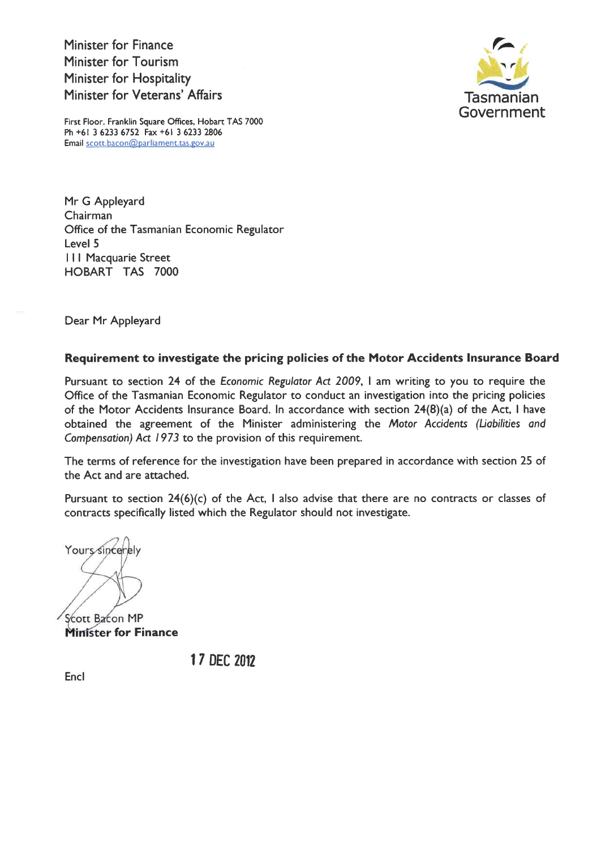Minister for Finance Minister for Tourism Minister for Hospitality Minister for Veterans' Affairs



First Floor, Franklin Square Offices, Hobart TAS 7000 Ph +61 3 6233 6752 Fax +61 3 6233 2806 Email scott.bacon@parliament.tas.gov.au

Mr G Appleyard Chairman Office of the Tasmanian Economic Regulator Level 5 **III Macquarie Street** HOBART TAS TOOO

Dear Mr Appleyard

## Requirement to investigate the pricing policies of the Motor Accidents Insurance Board

Pursuant to section 24 of the Economic Regulator Act 2009, I am writing to you to require the Office of the Tasmanian Economic Regulator to conduct an investigation into the pricing policies of the Motor Accidents Insurance Board. In accordance with section 24(8)(a) of the Act, I have obtained the agreement of the Minister administering the Motor Accidents (Liabilities and Compensation) Act 1973 to the provision of this requirement.

The terms of reference for the investigation have been prepared in accordance with section 25 of the Act and are attached.

Pursuant to section  $24(6)(c)$  of the Act, I also advise that there are no contracts or classes of contracts specifically listed which the Regulator should not investigate.

Yours sincerely

Scott Bacon MP **Minister for Finance** 

t7 DEC 2012

Encl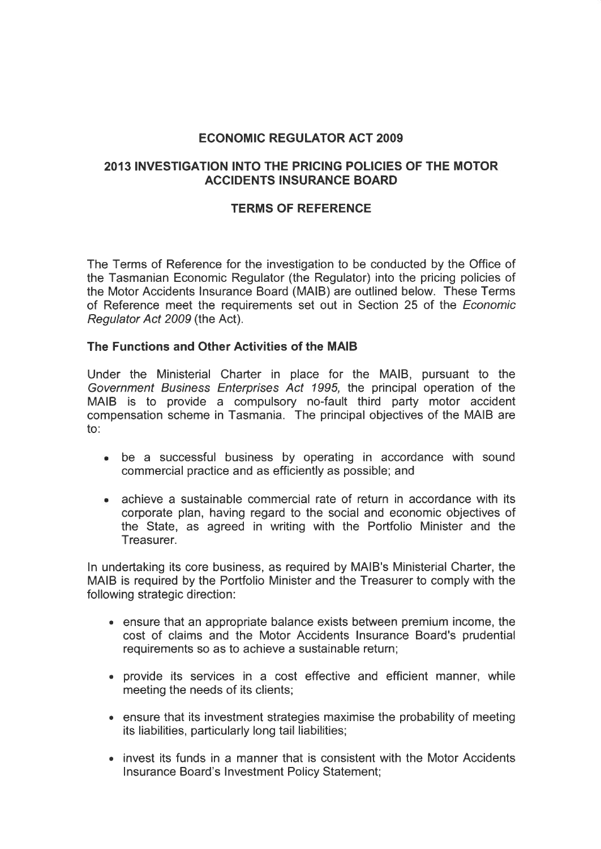# ECONOMIC REGULATOR ACT 2OO9

# 2013INVESTIGATION INTO THE PRICING POLICIES OF THE MOTOR ACCIDENTS INSURANCE BOARD

## TERMS OF REFERENCE

The Terms of Reference for the investigation to be conducted by the Office of the Tasmanian Economic Regulator (the Regulator) into the pricing policies of the Motor Accidents Insurance Board (MAIB) are outlined below. These Terms of Reference meet the requirements set out in Section 25 of the Economic Regulator Act 2009 (the Act).

### The Functions and Other Activities of the MAIB

Under the Ministerial Charter in place for the MAIB, pursuant to the Government Business Enferprises Acf 1995, the principal operation of the MAIB is to provide a compulsory no-fault third party motor accident compensation scheme in Tasmania. The principal objectives of the MAIB are to:

- be a successful business by operating in accordance with sound commercial practice and as efficiently as possible; and
- achieve a sustainable commercial rate of return in accordance with its corporate plan, having regard to the social and economic objectives of the State, as agreed in writing with the Portfolio Minister and the Treasurer.

In undertaking its core business, as required by MAIB's Ministerial Charter, the MAIB is required by the Portfolio Minister and the Treasurer to comply with the following strategic direction:

- . ensure that an appropriate balance exists between premium income, the cost of claims and the Motor Accidents Insurance Board's prudential requirements so as to achieve a sustainable return;
- provide its services in a cost effective and efficient manner, while meeting the needs of its clients;
- . ensure that its investment strategies maximise the probability of meeting its liabilities, particularly long tail liabilities;
- . invest its funds in a manner that is consistent with the Motor Accidents Insurance Board's Investment Policy Statement;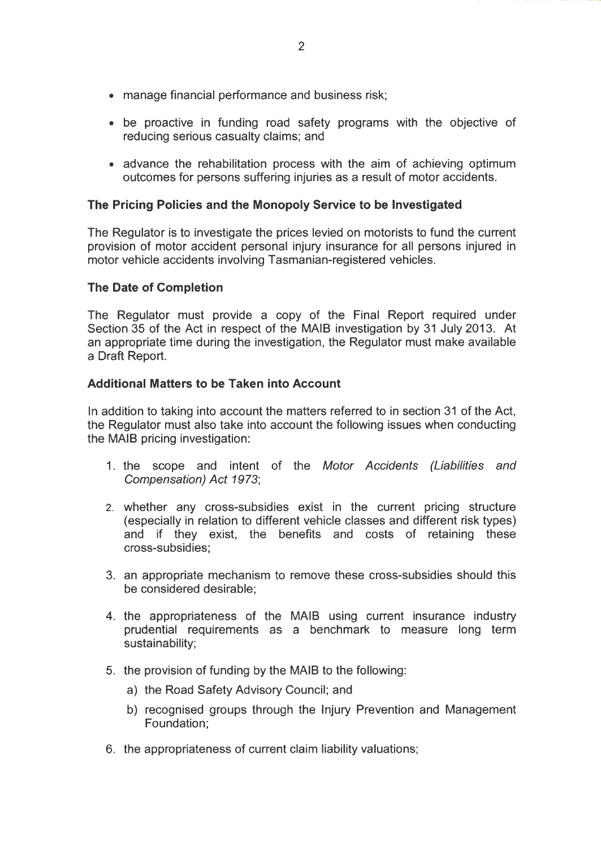- . manage financial performance and business risk;
- . be proactive in funding road safety programs with the objective of reducing serious casualty claims; and
- . advance the rehabilitation process with the aim of achieving optimum outcomes for persons suffering injuries as a result of motor accidents.

### The Pricing Policies and the Monopoly Service to be Investigated

The Regulator is to investigate the prices levied on motorists to fund the current provision of motor accident personal injury insurance for all persons injured in motor vehicle accidents involving Tasmanian-registered vehicles.

### The Date of Completion

The Regulator must provide a copy of the Final Report required under Section 35 of the Act in respect of the MAIB investigation by 31 July 2013. At an appropriate time during the investigation, the Regulator must make available a Draft Report.

### Additional Matters to be Taken into Account

In addition to taking into account the matters referred to in section 31 of the Act, the Regulator must also take into account the following issues when conducting the MAIB pricing investigation:

- 1. the scope and intent of the Motor Accidents (Liabilities and Compensation) Act 1973;
- 2. whether any cross-subsidies exist in the current pricing structure (especially in relation to different vehicle classes and different risk types) and if they exist, the benefits and costs of retaining these cross-subsidies;
- 3. an appropriate mechanism to remove these cross-subsidies should this be considered desirable;
- 4. the appropriateness of the MAIB using current insurance industry prudential requirements as a benchmark to measure long term sustainability;
- 5. the provision of funding by the MAIB to the following:
	- a) the Road Safety Advisory Council; and
	- b) recognised groups through the Injury Prevention and Management Foundation;
- 6. the appropriateness of current claim liability valuations;